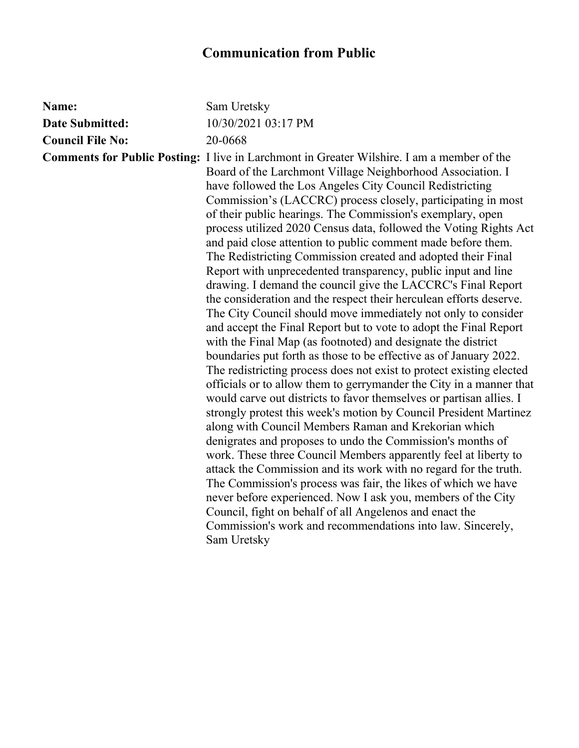## **Communication from Public**

| Name:                   | Sam Uretsky                                                                                                                                                                                                                                                                                                                                                                                                                                                                                                                                                                                                                                                                                                                                                                                                                                                                                                                                                                                                                                                                                                                                                                                                                                                                                                                                                                                                                                                                                                                                                                                                                                                                                                                                                                                                                                                                       |
|-------------------------|-----------------------------------------------------------------------------------------------------------------------------------------------------------------------------------------------------------------------------------------------------------------------------------------------------------------------------------------------------------------------------------------------------------------------------------------------------------------------------------------------------------------------------------------------------------------------------------------------------------------------------------------------------------------------------------------------------------------------------------------------------------------------------------------------------------------------------------------------------------------------------------------------------------------------------------------------------------------------------------------------------------------------------------------------------------------------------------------------------------------------------------------------------------------------------------------------------------------------------------------------------------------------------------------------------------------------------------------------------------------------------------------------------------------------------------------------------------------------------------------------------------------------------------------------------------------------------------------------------------------------------------------------------------------------------------------------------------------------------------------------------------------------------------------------------------------------------------------------------------------------------------|
| <b>Date Submitted:</b>  | 10/30/2021 03:17 PM                                                                                                                                                                                                                                                                                                                                                                                                                                                                                                                                                                                                                                                                                                                                                                                                                                                                                                                                                                                                                                                                                                                                                                                                                                                                                                                                                                                                                                                                                                                                                                                                                                                                                                                                                                                                                                                               |
| <b>Council File No:</b> | 20-0668                                                                                                                                                                                                                                                                                                                                                                                                                                                                                                                                                                                                                                                                                                                                                                                                                                                                                                                                                                                                                                                                                                                                                                                                                                                                                                                                                                                                                                                                                                                                                                                                                                                                                                                                                                                                                                                                           |
|                         | <b>Comments for Public Posting:</b> I live in Larchmont in Greater Wilshire. I am a member of the<br>Board of the Larchmont Village Neighborhood Association. I<br>have followed the Los Angeles City Council Redistricting<br>Commission's (LACCRC) process closely, participating in most<br>of their public hearings. The Commission's exemplary, open<br>process utilized 2020 Census data, followed the Voting Rights Act<br>and paid close attention to public comment made before them.<br>The Redistricting Commission created and adopted their Final<br>Report with unprecedented transparency, public input and line<br>drawing. I demand the council give the LACCRC's Final Report<br>the consideration and the respect their herculean efforts deserve.<br>The City Council should move immediately not only to consider<br>and accept the Final Report but to vote to adopt the Final Report<br>with the Final Map (as footnoted) and designate the district<br>boundaries put forth as those to be effective as of January 2022.<br>The redistricting process does not exist to protect existing elected<br>officials or to allow them to gerrymander the City in a manner that<br>would carve out districts to favor themselves or partisan allies. I<br>strongly protest this week's motion by Council President Martinez<br>along with Council Members Raman and Krekorian which<br>denigrates and proposes to undo the Commission's months of<br>work. These three Council Members apparently feel at liberty to<br>attack the Commission and its work with no regard for the truth.<br>The Commission's process was fair, the likes of which we have<br>never before experienced. Now I ask you, members of the City<br>Council, fight on behalf of all Angelenos and enact the<br>Commission's work and recommendations into law. Sincerely,<br>Sam Uretsky |